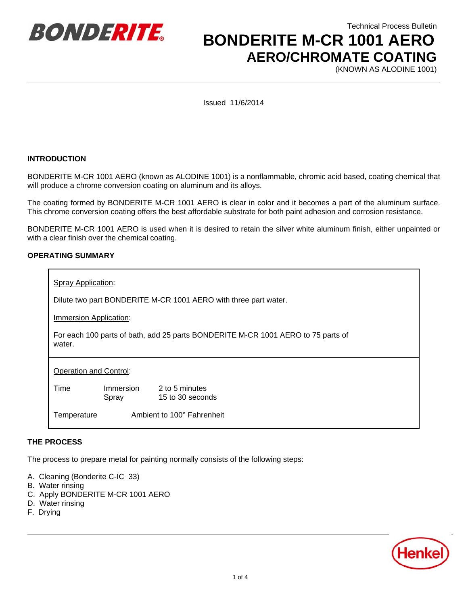

Technical Process Bulletin  **BONDERITE M-CR 1001 AERO AERO/CHROMATE COATING**

(KNOWN AS ALODINE 1001)

Issued 11/6/2014

#### **INTRODUCTION**

BONDERITE M-CR 1001 AERO (known as ALODINE 1001) is a nonflammable, chromic acid based, coating chemical that will produce a chrome conversion coating on aluminum and its alloys.

The coating formed by BONDERITE M-CR 1001 AERO is clear in color and it becomes a part of the aluminum surface. This chrome conversion coating offers the best affordable substrate for both paint adhesion and corrosion resistance.

BONDERITE M-CR 1001 AERO is used when it is desired to retain the silver white aluminum finish, either unpainted or with a clear finish over the chemical coating.

#### **OPERATING SUMMARY**

| <b>Spray Application:</b>                                                                  |                            |                                    |
|--------------------------------------------------------------------------------------------|----------------------------|------------------------------------|
| Dilute two part BONDERITE M-CR 1001 AERO with three part water.                            |                            |                                    |
| Immersion Application:                                                                     |                            |                                    |
| For each 100 parts of bath, add 25 parts BONDERITE M-CR 1001 AERO to 75 parts of<br>water. |                            |                                    |
| <b>Operation and Control:</b>                                                              |                            |                                    |
| Time                                                                                       | Immersion<br>Spray         | 2 to 5 minutes<br>15 to 30 seconds |
| Temperature                                                                                | Ambient to 100° Fahrenheit |                                    |

#### **THE PROCESS**

The process to prepare metal for painting normally consists of the following steps:

- A. Cleaning (Bonderite C-IC 33)
- B. Water rinsing
- C. Apply BONDERITE M-CR 1001 AERO
- D. Water rinsing
- F. Drying

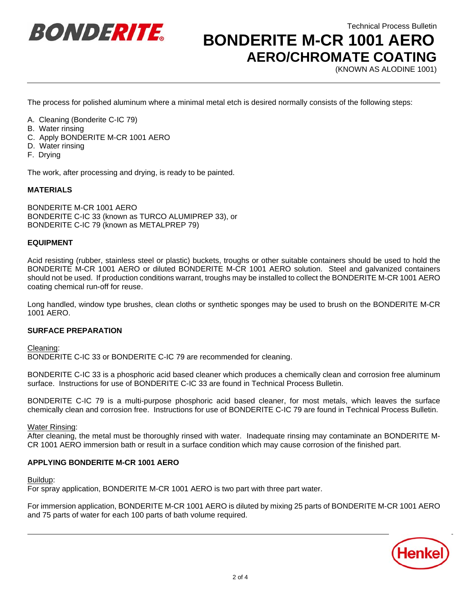

Technical Process Bulletin

# **BONDERITE M-CR 1001 AERO AERO/CHROMATE COATING**

(KNOWN AS ALODINE 1001)

The process for polished aluminum where a minimal metal etch is desired normally consists of the following steps:

- A. Cleaning (Bonderite C-IC 79)
- B. Water rinsing
- C. Apply BONDERITE M-CR 1001 AERO
- D. Water rinsing
- F. Drying

The work, after processing and drying, is ready to be painted.

# **MATERIALS**

BONDERITE M-CR 1001 AERO BONDERITE C-IC 33 (known as TURCO ALUMIPREP 33), or BONDERITE C-IC 79 (known as METALPREP 79)

# **EQUIPMENT**

Acid resisting (rubber, stainless steel or plastic) buckets, troughs or other suitable containers should be used to hold the BONDERITE M-CR 1001 AERO or diluted BONDERITE M-CR 1001 AERO solution. Steel and galvanized containers should not be used. If production conditions warrant, troughs may be installed to collect the BONDERITE M-CR 1001 AERO coating chemical run-off for reuse.

Long handled, window type brushes, clean cloths or synthetic sponges may be used to brush on the BONDERITE M-CR 1001 AERO.

# **SURFACE PREPARATION**

Cleaning:

BONDERITE C-IC 33 or BONDERITE C-IC 79 are recommended for cleaning.

BONDERITE C-IC 33 is a phosphoric acid based cleaner which produces a chemically clean and corrosion free aluminum surface. Instructions for use of BONDERITE C-IC 33 are found in Technical Process Bulletin.

BONDERITE C-IC 79 is a multi-purpose phosphoric acid based cleaner, for most metals, which leaves the surface chemically clean and corrosion free. Instructions for use of BONDERITE C-IC 79 are found in Technical Process Bulletin.

Water Rinsing:

After cleaning, the metal must be thoroughly rinsed with water. Inadequate rinsing may contaminate an BONDERITE M-CR 1001 AERO immersion bath or result in a surface condition which may cause corrosion of the finished part.

# **APPLYING BONDERITE M-CR 1001 AERO**

Buildup:

For spray application, BONDERITE M-CR 1001 AERO is two part with three part water.

For immersion application, BONDERITE M-CR 1001 AERO is diluted by mixing 25 parts of BONDERITE M-CR 1001 AERO and 75 parts of water for each 100 parts of bath volume required.

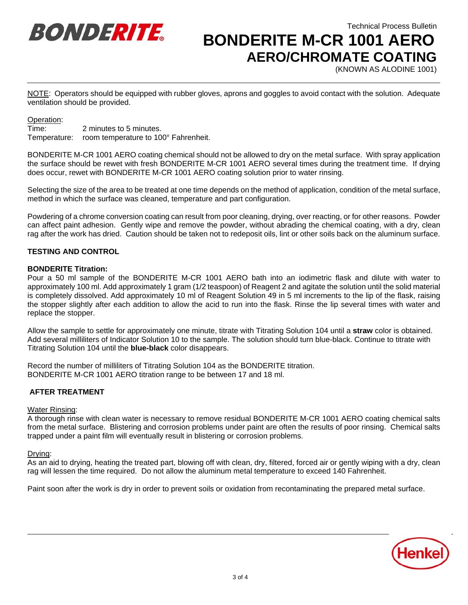

Technical Process Bulletin  **BONDERITE M-CR 1001 AERO AERO/CHROMATE COATING**

(KNOWN AS ALODINE 1001)

NOTE: Operators should be equipped with rubber gloves, aprons and goggles to avoid contact with the solution. Adequate ventilation should be provided.

#### Operation:

Time: 2 minutes to 5 minutes. Temperature: room temperature to 100° Fahrenheit.

BONDERITE M-CR 1001 AERO coating chemical should not be allowed to dry on the metal surface. With spray application the surface should be rewet with fresh BONDERITE M-CR 1001 AERO several times during the treatment time. If drying does occur, rewet with BONDERITE M-CR 1001 AERO coating solution prior to water rinsing.

Selecting the size of the area to be treated at one time depends on the method of application, condition of the metal surface, method in which the surface was cleaned, temperature and part configuration.

Powdering of a chrome conversion coating can result from poor cleaning, drying, over reacting, or for other reasons. Powder can affect paint adhesion. Gently wipe and remove the powder, without abrading the chemical coating, with a dry, clean rag after the work has dried. Caution should be taken not to redeposit oils, lint or other soils back on the aluminum surface.

# **TESTING AND CONTROL**

# **BONDERITE Titration:**

Pour a 50 ml sample of the BONDERITE M-CR 1001 AERO bath into an iodimetric flask and dilute with water to approximately 100 ml. Add approximately 1 gram (1/2 teaspoon) of Reagent 2 and agitate the solution until the solid material is completely dissolved. Add approximately 10 ml of Reagent Solution 49 in 5 ml increments to the lip of the flask, raising the stopper slightly after each addition to allow the acid to run into the flask. Rinse the lip several times with water and replace the stopper.

Allow the sample to settle for approximately one minute, titrate with Titrating Solution 104 until a **straw** color is obtained. Add several milliliters of Indicator Solution 10 to the sample. The solution should turn blue-black. Continue to titrate with Titrating Solution 104 until the **blue-black** color disappears.

Record the number of milliliters of Titrating Solution 104 as the BONDERITE titration. BONDERITE M-CR 1001 AERO titration range to be between 17 and 18 ml.

# **AFTER TREATMENT**

#### Water Rinsing:

A thorough rinse with clean water is necessary to remove residual BONDERITE M-CR 1001 AERO coating chemical salts from the metal surface. Blistering and corrosion problems under paint are often the results of poor rinsing. Chemical salts trapped under a paint film will eventually result in blistering or corrosion problems.

#### Drying:

As an aid to drying, heating the treated part, blowing off with clean, dry, filtered, forced air or gently wiping with a dry, clean rag will lessen the time required. Do not allow the aluminum metal temperature to exceed 140 Fahrenheit.

Paint soon after the work is dry in order to prevent soils or oxidation from recontaminating the prepared metal surface.